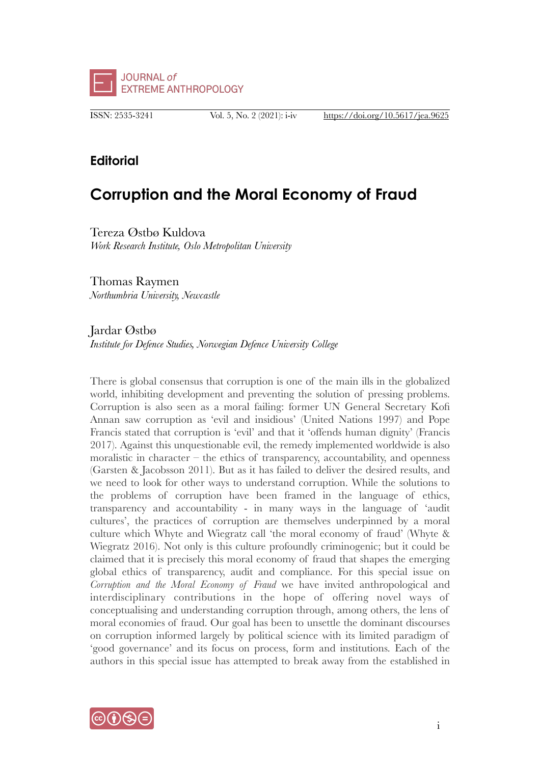

ISSN: 2535-3241 Vol. 5, No. 2 (2021): i-iv https://doi.org/10.5617/jea.9625

## **Editorial**

# **Corruption and the Moral Economy of Fraud**

Tereza Østbø Kuldova *Work Research Institute, Oslo Metropolitan University* 

Thomas Raymen *Northumbria University, Newcastle*

Jardar Østbø

*Institute for Defence Studies, Norwegian Defence University College*

There is global consensus that corruption is one of the main ills in the globalized world, inhibiting development and preventing the solution of pressing problems. Corruption is also seen as a moral failing: former UN General Secretary Kofi Annan saw corruption as 'evil and insidious' (United Nations 1997) and Pope Francis stated that corruption is 'evil' and that it 'offends human dignity' (Francis 2017). Against this unquestionable evil, the remedy implemented worldwide is also moralistic in character – the ethics of transparency, accountability, and openness (Garsten & Jacobsson 2011). But as it has failed to deliver the desired results, and we need to look for other ways to understand corruption. While the solutions to the problems of corruption have been framed in the language of ethics, transparency and accountability - in many ways in the language of 'audit cultures', the practices of corruption are themselves underpinned by a moral culture which Whyte and Wiegratz call 'the moral economy of fraud' (Whyte & Wiegratz 2016). Not only is this culture profoundly criminogenic; but it could be claimed that it is precisely this moral economy of fraud that shapes the emerging global ethics of transparency, audit and compliance. For this special issue on *Corruption and the Moral Economy of Fraud* we have invited anthropological and interdisciplinary contributions in the hope of offering novel ways of conceptualising and understanding corruption through, among others, the lens of moral economies of fraud. Our goal has been to unsettle the dominant discourses on corruption informed largely by political science with its limited paradigm of 'good governance' and its focus on process, form and institutions. Each of the authors in this special issue has attempted to break away from the established in

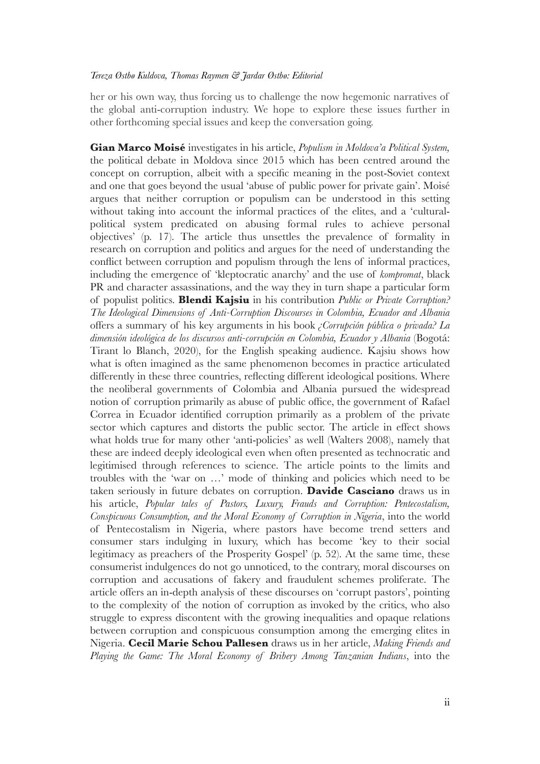#### *Tereza Østbø Kuldova, Thomas Raymen & Jardar Østbø: Editorial*

her or his own way, thus forcing us to challenge the now hegemonic narratives of the global anti-corruption industry. We hope to explore these issues further in other forthcoming special issues and keep the conversation going.

**Gian Marco Moisé** investigates in his article, *Populism in Moldova'a Political System,*  the political debate in Moldova since 2015 which has been centred around the concept on corruption, albeit with a specific meaning in the post-Soviet context and one that goes beyond the usual 'abuse of public power for private gain'. Moisé argues that neither corruption or populism can be understood in this setting without taking into account the informal practices of the elites, and a 'culturalpolitical system predicated on abusing formal rules to achieve personal objectives' (p. 17). The article thus unsettles the prevalence of formality in research on corruption and politics and argues for the need of understanding the conflict between corruption and populism through the lens of informal practices, including the emergence of 'kleptocratic anarchy' and the use of *kompromat*, black PR and character assassinations, and the way they in turn shape a particular form of populist politics. **Blendi Kajsiu** in his contribution *Public or Private Corruption? The Ideological Dimensions of Anti-Corruption Discourses in Colombia, Ecuador and Albania* offers a summary of his key arguments in his book *¿Corrupción pública o privada? La dimensión ideológica de los discursos anti-corrupción en Colombia, Ecuador y Albania* (Bogotá: Tirant lo Blanch, 2020), for the English speaking audience. Kajsiu shows how what is often imagined as the same phenomenon becomes in practice articulated differently in these three countries, reflecting different ideological positions. Where the neoliberal governments of Colombia and Albania pursued the widespread notion of corruption primarily as abuse of public office, the government of Rafael Correa in Ecuador identified corruption primarily as a problem of the private sector which captures and distorts the public sector. The article in effect shows what holds true for many other 'anti-policies' as well (Walters 2008), namely that these are indeed deeply ideological even when often presented as technocratic and legitimised through references to science. The article points to the limits and troubles with the 'war on …' mode of thinking and policies which need to be taken seriously in future debates on corruption. **Davide Casciano** draws us in his article, *Popular tales of Pastors, Luxury, Frauds and Corruption: Pentecostalism, Conspicuous Consumption, and the Moral Economy of Corruption in Nigeria*, into the world of Pentecostalism in Nigeria, where pastors have become trend setters and consumer stars indulging in luxury, which has become 'key to their social legitimacy as preachers of the Prosperity Gospel' (p. 52). At the same time, these consumerist indulgences do not go unnoticed, to the contrary, moral discourses on corruption and accusations of fakery and fraudulent schemes proliferate. The article offers an in-depth analysis of these discourses on 'corrupt pastors', pointing to the complexity of the notion of corruption as invoked by the critics, who also struggle to express discontent with the growing inequalities and opaque relations between corruption and conspicuous consumption among the emerging elites in Nigeria. **Cecil Marie Schou Pallesen** draws us in her article, *Making Friends and Playing the Game: The Moral Economy of Bribery Among Tanzanian Indians*, into the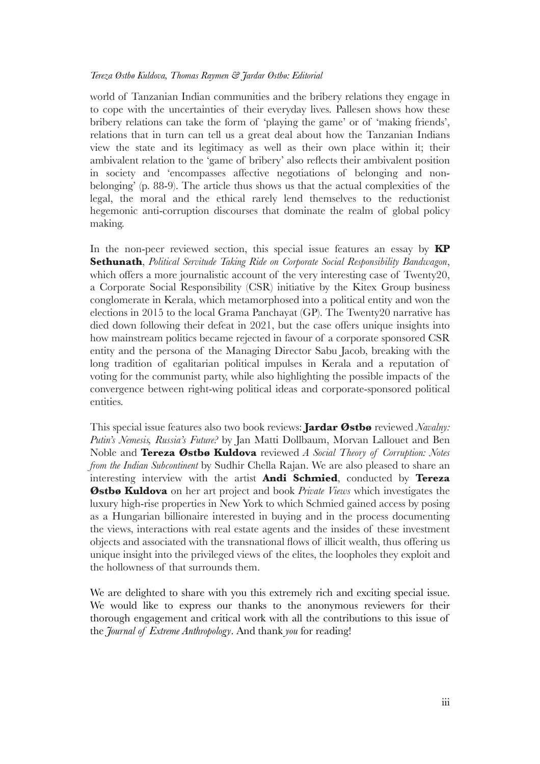#### *Tereza Østbø Kuldova, Thomas Raymen & Jardar Østbø: Editorial*

world of Tanzanian Indian communities and the bribery relations they engage in to cope with the uncertainties of their everyday lives. Pallesen shows how these bribery relations can take the form of 'playing the game' or of 'making friends', relations that in turn can tell us a great deal about how the Tanzanian Indians view the state and its legitimacy as well as their own place within it; their ambivalent relation to the 'game of bribery' also reflects their ambivalent position in society and 'encompasses affective negotiations of belonging and nonbelonging' (p. 88-9). The article thus shows us that the actual complexities of the legal, the moral and the ethical rarely lend themselves to the reductionist hegemonic anti-corruption discourses that dominate the realm of global policy making.

In the non-peer reviewed section, this special issue features an essay by **KP Sethunath**, *Political Servitude Taking Ride on Corporate Social Responsibility Bandwagon*, which offers a more journalistic account of the very interesting case of Twenty20, a Corporate Social Responsibility (CSR) initiative by the Kitex Group business conglomerate in Kerala, which metamorphosed into a political entity and won the elections in 2015 to the local Grama Panchayat (GP). The Twenty20 narrative has died down following their defeat in 2021, but the case offers unique insights into how mainstream politics became rejected in favour of a corporate sponsored CSR entity and the persona of the Managing Director Sabu Jacob, breaking with the long tradition of egalitarian political impulses in Kerala and a reputation of voting for the communist party, while also highlighting the possible impacts of the convergence between right-wing political ideas and corporate-sponsored political entities.

This special issue features also two book reviews: **Jardar Østbø** reviewed *Navalny: Putin's Nemesis, Russia's Future?* by Jan Matti Dollbaum, Morvan Lallouet and Ben Noble and **Tereza Østbø Kuldova** reviewed *A Social Theory of Corruption: Notes from the Indian Subcontinent* by Sudhir Chella Rajan. We are also pleased to share an interesting interview with the artist **Andi Schmied**, conducted by **Tereza Østbø Kuldova** on her art project and book *Private Views* which investigates the luxury high-rise properties in New York to which Schmied gained access by posing as a Hungarian billionaire interested in buying and in the process documenting the views, interactions with real estate agents and the insides of these investment objects and associated with the transnational flows of illicit wealth, thus offering us unique insight into the privileged views of the elites, the loopholes they exploit and the hollowness of that surrounds them.

We are delighted to share with you this extremely rich and exciting special issue. We would like to express our thanks to the anonymous reviewers for their thorough engagement and critical work with all the contributions to this issue of the *Journal of Extreme Anthropology*. And thank *you* for reading!